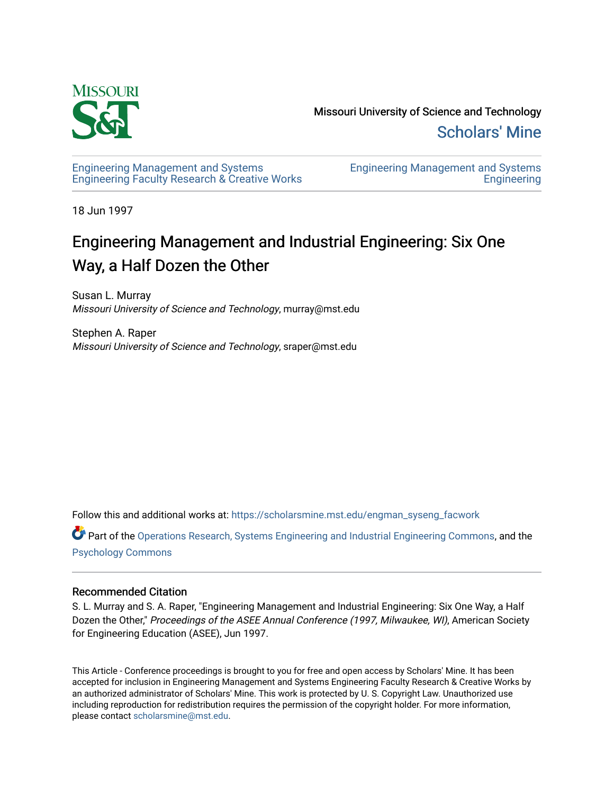

Missouri University of Science and Technology [Scholars' Mine](https://scholarsmine.mst.edu/) 

[Engineering Management and Systems](https://scholarsmine.mst.edu/engman_syseng_facwork)  [Engineering Faculty Research & Creative Works](https://scholarsmine.mst.edu/engman_syseng_facwork) [Engineering Management and Systems](https://scholarsmine.mst.edu/engman_syseng)  **Engineering** 

18 Jun 1997

# Engineering Management and Industrial Engineering: Six One Way, a Half Dozen the Other

Susan L. Murray Missouri University of Science and Technology, murray@mst.edu

Stephen A. Raper Missouri University of Science and Technology, sraper@mst.edu

Follow this and additional works at: [https://scholarsmine.mst.edu/engman\\_syseng\\_facwork](https://scholarsmine.mst.edu/engman_syseng_facwork?utm_source=scholarsmine.mst.edu%2Fengman_syseng_facwork%2F283&utm_medium=PDF&utm_campaign=PDFCoverPages) 

Part of the [Operations Research, Systems Engineering and Industrial Engineering Commons](http://network.bepress.com/hgg/discipline/305?utm_source=scholarsmine.mst.edu%2Fengman_syseng_facwork%2F283&utm_medium=PDF&utm_campaign=PDFCoverPages), and the [Psychology Commons](http://network.bepress.com/hgg/discipline/404?utm_source=scholarsmine.mst.edu%2Fengman_syseng_facwork%2F283&utm_medium=PDF&utm_campaign=PDFCoverPages) 

#### Recommended Citation

S. L. Murray and S. A. Raper, "Engineering Management and Industrial Engineering: Six One Way, a Half Dozen the Other," Proceedings of the ASEE Annual Conference (1997, Milwaukee, WI), American Society for Engineering Education (ASEE), Jun 1997.

This Article - Conference proceedings is brought to you for free and open access by Scholars' Mine. It has been accepted for inclusion in Engineering Management and Systems Engineering Faculty Research & Creative Works by an authorized administrator of Scholars' Mine. This work is protected by U. S. Copyright Law. Unauthorized use including reproduction for redistribution requires the permission of the copyright holder. For more information, please contact [scholarsmine@mst.edu.](mailto:scholarsmine@mst.edu)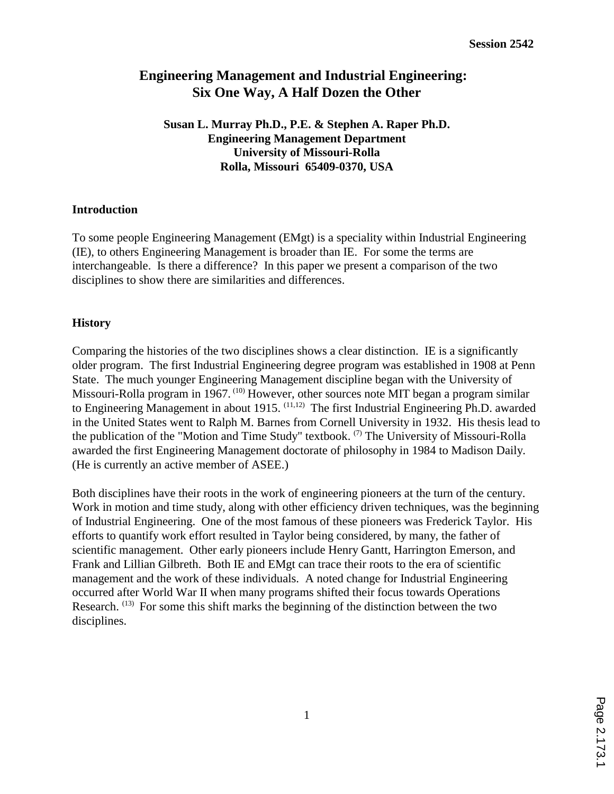# **Engineering Management and Industrial Engineering: Six One Way, A Half Dozen the Other**

**Susan L. Murray Ph.D., P.E. & Stephen A. Raper Ph.D. Engineering Management Department University of Missouri-Rolla Rolla, Missouri 65409-0370, USA**

#### **Introduction**

To some people Engineering Management (EMgt) is a speciality within Industrial Engineering (IE), to others Engineering Management is broader than IE. For some the terms are interchangeable. Is there a difference? In this paper we present a comparison of the two disciplines to show there are similarities and differences.

#### **History**

Comparing the histories of the two disciplines shows a clear distinction. IE is a significantly older program. The first Industrial Engineering degree program was established in 1908 at Penn State. The much younger Engineering Management discipline began with the University of Missouri-Rolla program in 1967.  $(10)$  However, other sources note MIT began a program similar to Engineering Management in about 1915.  $(11,12)$  The first Industrial Engineering Ph.D. awarded in the United States went to Ralph M. Barnes from Cornell University in 1932. His thesis lead to the publication of the "Motion and Time Study" textbook.  $(7)$  The University of Missouri-Rolla awarded the first Engineering Management doctorate of philosophy in 1984 to Madison Daily. (He is currently an active member of ASEE.)

Both disciplines have their roots in the work of engineering pioneers at the turn of the century. Work in motion and time study, along with other efficiency driven techniques, was the beginning of Industrial Engineering. One of the most famous of these pioneers was Frederick Taylor. His efforts to quantify work effort resulted in Taylor being considered, by many, the father of scientific management. Other early pioneers include Henry Gantt, Harrington Emerson, and Frank and Lillian Gilbreth. Both IE and EMgt can trace their roots to the era of scientific management and the work of these individuals. A noted change for Industrial Engineering occurred after World War II when many programs shifted their focus towards Operations Research.  $^{(13)}$  For some this shift marks the beginning of the distinction between the two disciplines.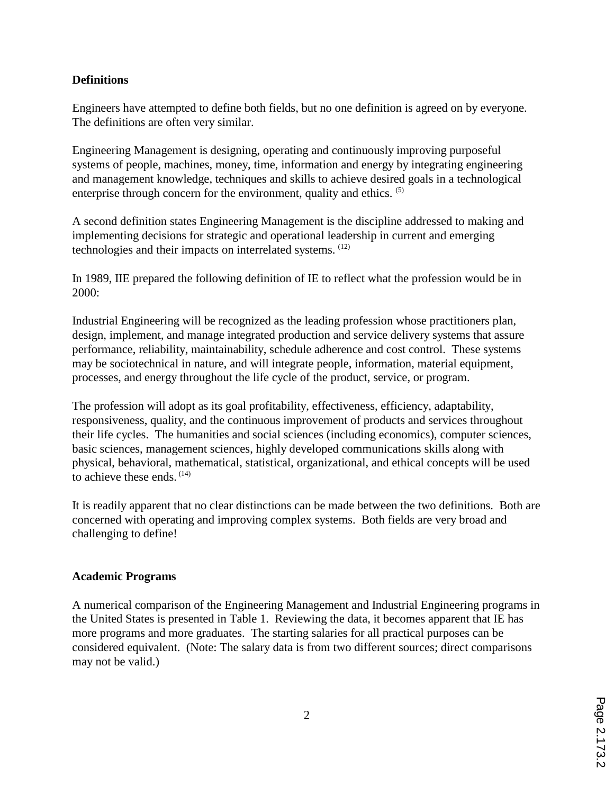### **Definitions**

Engineers have attempted to define both fields, but no one definition is agreed on by everyone. The definitions are often very similar.

Engineering Management is designing, operating and continuously improving purposeful systems of people, machines, money, time, information and energy by integrating engineering and management knowledge, techniques and skills to achieve desired goals in a technological enterprise through concern for the environment, quality and ethics. <sup>(5)</sup>

A second definition states Engineering Management is the discipline addressed to making and implementing decisions for strategic and operational leadership in current and emerging technologies and their impacts on interrelated systems. (12)

In 1989, IIE prepared the following definition of IE to reflect what the profession would be in 2000:

Industrial Engineering will be recognized as the leading profession whose practitioners plan, design, implement, and manage integrated production and service delivery systems that assure performance, reliability, maintainability, schedule adherence and cost control. These systems may be sociotechnical in nature, and will integrate people, information, material equipment, processes, and energy throughout the life cycle of the product, service, or program.

The profession will adopt as its goal profitability, effectiveness, efficiency, adaptability, responsiveness, quality, and the continuous improvement of products and services throughout their life cycles. The humanities and social sciences (including economics), computer sciences, basic sciences, management sciences, highly developed communications skills along with physical, behavioral, mathematical, statistical, organizational, and ethical concepts will be used to achieve these ends. (14)

It is readily apparent that no clear distinctions can be made between the two definitions. Both are concerned with operating and improving complex systems. Both fields are very broad and challenging to define!

# **Academic Programs**

A numerical comparison of the Engineering Management and Industrial Engineering programs in the United States is presented in Table 1. Reviewing the data, it becomes apparent that IE has more programs and more graduates. The starting salaries for all practical purposes can be considered equivalent. (Note: The salary data is from two different sources; direct comparisons may not be valid.)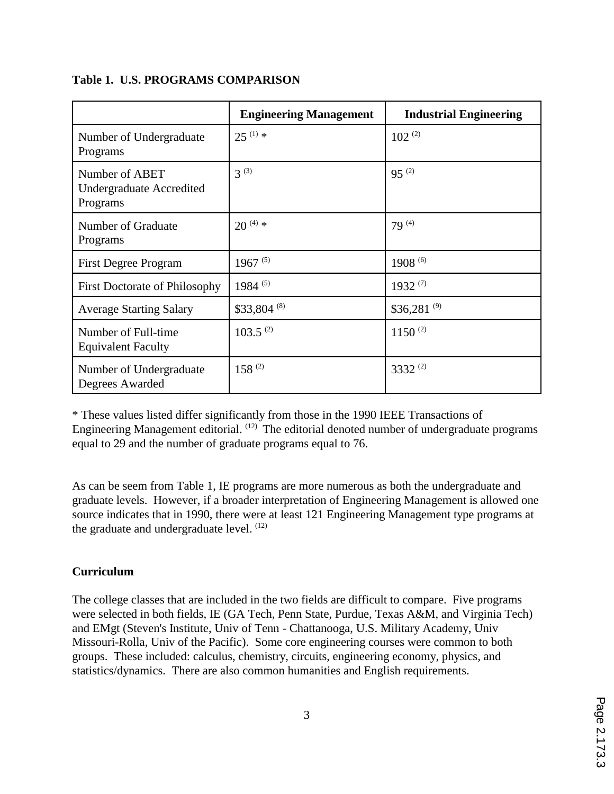|                                                               | <b>Engineering Management</b> | <b>Industrial Engineering</b> |
|---------------------------------------------------------------|-------------------------------|-------------------------------|
| Number of Undergraduate<br>Programs                           | $25^{(1)}$ *                  | $102^{(2)}$                   |
| Number of ABET<br><b>Undergraduate Accredited</b><br>Programs | $3^{(3)}$                     | $95^{(2)}$                    |
| Number of Graduate<br>Programs                                | $20^{(4)}$ *                  | $79^{(4)}$                    |
| <b>First Degree Program</b>                                   | $1967^{(5)}$                  | $1908^{(6)}$                  |
| <b>First Doctorate of Philosophy</b>                          | $1984^{(5)}$                  | $1932^{(7)}$                  |
| <b>Average Starting Salary</b>                                | \$33,804 (8)                  | $$36,281^{(9)}$               |
| Number of Full-time<br><b>Equivalent Faculty</b>              | $103.5^{(2)}$                 | $1150^{(2)}$                  |
| Number of Undergraduate<br>Degrees Awarded                    | $158^{(2)}$                   | 3332 $(2)$                    |

#### **Table 1. U.S. PROGRAMS COMPARISON**

\* These values listed differ significantly from those in the 1990 IEEE Transactions of Engineering Management editorial.  $(12)$  The editorial denoted number of undergraduate programs equal to 29 and the number of graduate programs equal to 76.

As can be seem from Table 1, IE programs are more numerous as both the undergraduate and graduate levels. However, if a broader interpretation of Engineering Management is allowed one source indicates that in 1990, there were at least 121 Engineering Management type programs at the graduate and undergraduate level.  $(12)$ 

# **Curriculum**

The college classes that are included in the two fields are difficult to compare. Five programs were selected in both fields, IE (GA Tech, Penn State, Purdue, Texas A&M, and Virginia Tech) and EMgt (Steven's Institute, Univ of Tenn - Chattanooga, U.S. Military Academy, Univ Missouri-Rolla, Univ of the Pacific). Some core engineering courses were common to both groups. These included: calculus, chemistry, circuits, engineering economy, physics, and statistics/dynamics. There are also common humanities and English requirements.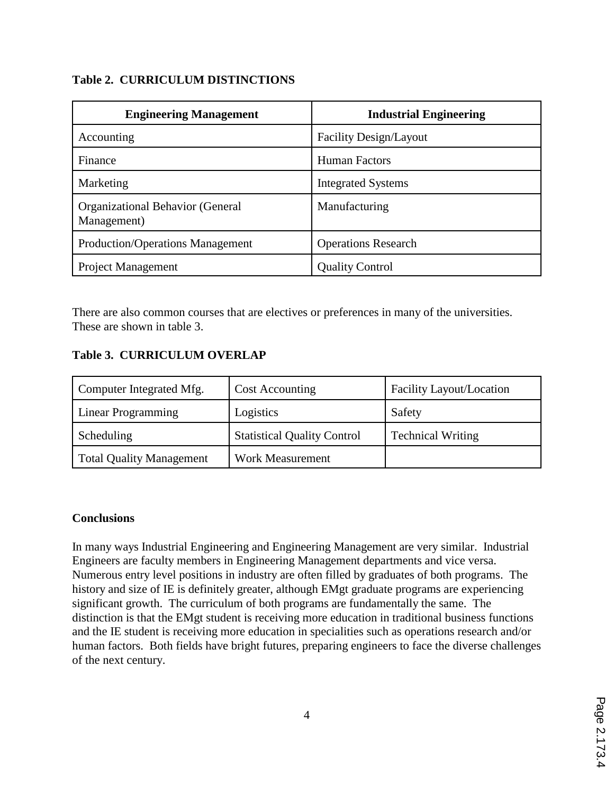# **Table 2. CURRICULUM DISTINCTIONS**

| <b>Engineering Management</b>                          | <b>Industrial Engineering</b> |  |
|--------------------------------------------------------|-------------------------------|--|
| Accounting                                             | Facility Design/Layout        |  |
| Finance                                                | <b>Human Factors</b>          |  |
| Marketing                                              | <b>Integrated Systems</b>     |  |
| <b>Organizational Behavior (General</b><br>Management) | Manufacturing                 |  |
| <b>Production/Operations Management</b>                | <b>Operations Research</b>    |  |
| <b>Project Management</b>                              | <b>Quality Control</b>        |  |

There are also common courses that are electives or preferences in many of the universities. These are shown in table 3.

# **Table 3. CURRICULUM OVERLAP**

| Computer Integrated Mfg.        | <b>Cost Accounting</b>             | Facility Layout/Location |
|---------------------------------|------------------------------------|--------------------------|
| Linear Programming              | Logistics                          | Safety                   |
| Scheduling                      | <b>Statistical Quality Control</b> | <b>Technical Writing</b> |
| <b>Total Quality Management</b> | <b>Work Measurement</b>            |                          |

# **Conclusions**

In many ways Industrial Engineering and Engineering Management are very similar. Industrial Engineers are faculty members in Engineering Management departments and vice versa. Numerous entry level positions in industry are often filled by graduates of both programs. The history and size of IE is definitely greater, although EMgt graduate programs are experiencing significant growth. The curriculum of both programs are fundamentally the same. The distinction is that the EMgt student is receiving more education in traditional business functions and the IE student is receiving more education in specialities such as operations research and/or human factors. Both fields have bright futures, preparing engineers to face the diverse challenges of the next century.